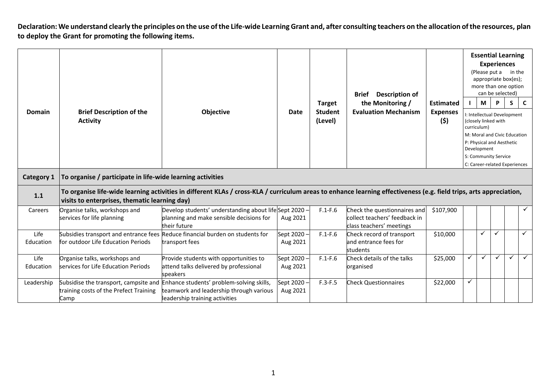Declaration: We understand clearly the principles on the use of the Life-wide Learning Grant and, after consulting teachers on the allocation of the resources, plan **to deploy the Grant for promoting the following items.**

|                   |                                                                                                                                                                                                                     |                                                                                                                                                              |                         |                           | <b>Description of</b><br><b>Brief</b>                                                     |                        |              | (Please put a              | <b>Essential Learning</b><br><b>Experiences</b><br>appropriate box(es);<br>more than one option<br>can be selected) | in the |              |
|-------------------|---------------------------------------------------------------------------------------------------------------------------------------------------------------------------------------------------------------------|--------------------------------------------------------------------------------------------------------------------------------------------------------------|-------------------------|---------------------------|-------------------------------------------------------------------------------------------|------------------------|--------------|----------------------------|---------------------------------------------------------------------------------------------------------------------|--------|--------------|
|                   |                                                                                                                                                                                                                     |                                                                                                                                                              |                         | <b>Target</b>             | the Monitoring /                                                                          | <b>Estimated</b>       |              | М                          | P                                                                                                                   | S      | $\mathbf{C}$ |
| <b>Domain</b>     | <b>Brief Description of the</b><br><b>Activity</b>                                                                                                                                                                  | Objective                                                                                                                                                    | Date                    | <b>Student</b><br>(Level) | <b>Evaluation Mechanism</b>                                                               | <b>Expenses</b><br>(5) |              | curriculum)<br>Development | I: Intellectual Development<br>(closely linked with<br>M: Moral and Civic Education<br>P: Physical and Aesthetic    |        |              |
|                   |                                                                                                                                                                                                                     |                                                                                                                                                              |                         |                           |                                                                                           |                        |              |                            | S: Community Service                                                                                                |        |              |
| Category 1        | C: Career-related Experiences<br>To organise / participate in life-wide learning activities                                                                                                                         |                                                                                                                                                              |                         |                           |                                                                                           |                        |              |                            |                                                                                                                     |        |              |
| 1.1               | To organise life-wide learning activities in different KLAs / cross-KLA / curriculum areas to enhance learning effectiveness (e.g. field trips, arts appreciation,<br>visits to enterprises, thematic learning day) |                                                                                                                                                              |                         |                           |                                                                                           |                        |              |                            |                                                                                                                     |        |              |
| Careers           | Organise talks, workshops and<br>services for life planning                                                                                                                                                         | Develop students' understanding about lifeSept 2020 -<br>planning and make sensible decisions for<br>their future                                            | Aug 2021                | $F.1-F.6$                 | Check the questionnaires and<br>collect teachers' feedback in<br>class teachers' meetings | \$107,900              |              |                            |                                                                                                                     |        | $\checkmark$ |
| Life<br>Education | for outdoor Life Education Periods                                                                                                                                                                                  | Subsidies transport and entrance fees Reduce financial burden on students for<br>transport fees                                                              | Sept 2020 -<br>Aug 2021 | $F.1-F.6$                 | Check record of transport<br>and entrance fees for<br>students                            | \$10,000               |              | ✓                          | ✓                                                                                                                   |        | $\checkmark$ |
| Life<br>Education | Organise talks, workshops and<br>services for Life Education Periods                                                                                                                                                | Provide students with opportunities to<br>attend talks delivered by professional<br>speakers                                                                 | Sept 2020 -<br>Aug 2021 | $F.1-F.6$                 | Check details of the talks<br>organised                                                   | \$25,000               | ✓            | ✓                          | ✓                                                                                                                   | ✓      | $\checkmark$ |
| Leadership        | training costs of the Prefect Training<br>Camp                                                                                                                                                                      | Subsidise the transport, campsite and Enhance students' problem-solving skills,<br>teamwork and leadership through various<br>leadership training activities | Sept 2020 -<br>Aug 2021 | $F.3-F.5$                 | <b>Check Questionnaires</b>                                                               | \$22,000               | $\checkmark$ |                            |                                                                                                                     |        |              |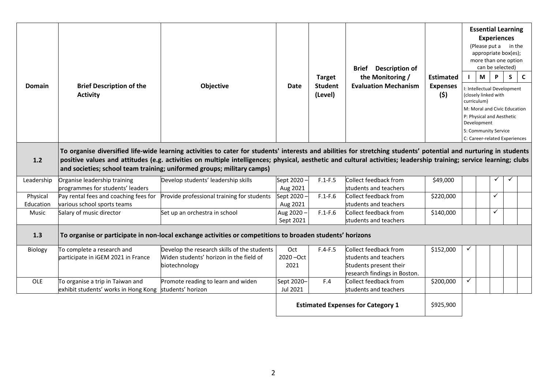| <b>Domain</b>         | <b>Brief Description of the</b><br><b>Activity</b>                                                                                                                                                                                                                                                                                                                                                                 | Objective                                                                                               | <b>Date</b>                              | <b>Target</b><br><b>Student</b><br>(Level) | <b>Description of</b><br><b>Brief</b><br>the Monitoring /<br><b>Evaluation Mechanism</b>                 | <b>Estimated</b><br><b>Expenses</b><br>(\$) |              | <b>Essential Learning</b><br><b>Experiences</b><br>(Please put a in the<br>appropriate box(es);<br>more than one option<br>can be selected)<br>M<br>I: Intellectual Development<br>(closely linked with<br>curriculum)<br>M: Moral and Civic Education<br>P: Physical and Aesthetic<br>Development<br>S: Community Service<br>C: Career-related Experiences | P | S. | C |
|-----------------------|--------------------------------------------------------------------------------------------------------------------------------------------------------------------------------------------------------------------------------------------------------------------------------------------------------------------------------------------------------------------------------------------------------------------|---------------------------------------------------------------------------------------------------------|------------------------------------------|--------------------------------------------|----------------------------------------------------------------------------------------------------------|---------------------------------------------|--------------|-------------------------------------------------------------------------------------------------------------------------------------------------------------------------------------------------------------------------------------------------------------------------------------------------------------------------------------------------------------|---|----|---|
| 1.2                   | To organise diversified life-wide learning activities to cater for students' interests and abilities for stretching students' potential and nurturing in students<br>positive values and attitudes (e.g. activities on multiple intelligences; physical, aesthetic and cultural activities; leadership training; service learning; clubs<br>and societies; school team training; uniformed groups; military camps) |                                                                                                         |                                          |                                            |                                                                                                          |                                             |              |                                                                                                                                                                                                                                                                                                                                                             |   |    |   |
| Leadership            | Organise leadership training<br>programmes for students' leaders                                                                                                                                                                                                                                                                                                                                                   | Develop students' leadership skills                                                                     | Sept 2020 -<br>Aug 2021                  | $F.1-F.5$                                  | Collect feedback from<br>students and teachers                                                           | \$49,000                                    |              |                                                                                                                                                                                                                                                                                                                                                             |   |    |   |
| Physical<br>Education | Pay rental fees and coaching fees for<br>various school sports teams                                                                                                                                                                                                                                                                                                                                               | Provide professional training for students                                                              | Sept 2020 -<br>Aug 2021                  | $F.1-F.6$                                  | Collect feedback from<br>students and teachers                                                           | \$220,000                                   |              | ✓                                                                                                                                                                                                                                                                                                                                                           |   |    |   |
| Music                 | Salary of music director                                                                                                                                                                                                                                                                                                                                                                                           | Set up an orchestra in school                                                                           | Aug 2020 -<br>Sept 2021                  | $F.1-F.6$                                  | Collect feedback from<br>students and teachers                                                           | \$140,000                                   |              | $\checkmark$                                                                                                                                                                                                                                                                                                                                                |   |    |   |
| 1.3                   | To organise or participate in non-local exchange activities or competitions to broaden students' horizons                                                                                                                                                                                                                                                                                                          |                                                                                                         |                                          |                                            |                                                                                                          |                                             |              |                                                                                                                                                                                                                                                                                                                                                             |   |    |   |
| Biology               | To complete a research and<br>participate in iGEM 2021 in France                                                                                                                                                                                                                                                                                                                                                   | Develop the research skills of the students<br>Widen students' horizon in the field of<br>biotechnology | Oct<br>2020 - Oct<br>2021                | $F.4-F.5$                                  | Collect feedback from<br>students and teachers<br>Students present their<br>research findings in Boston. | \$152,000                                   |              |                                                                                                                                                                                                                                                                                                                                                             |   |    |   |
| OLE                   | To organise a trip in Taiwan and<br>exhibit students' works in Hong Kong students' horizon                                                                                                                                                                                                                                                                                                                         | Promote reading to learn and widen                                                                      | Sept 2020-<br>Jul 2021                   | F.4                                        | Collect feedback from<br>students and teachers                                                           | \$200,000                                   | $\checkmark$ |                                                                                                                                                                                                                                                                                                                                                             |   |    |   |
|                       |                                                                                                                                                                                                                                                                                                                                                                                                                    |                                                                                                         | <b>Estimated Expenses for Category 1</b> |                                            |                                                                                                          | \$925,900                                   |              |                                                                                                                                                                                                                                                                                                                                                             |   |    |   |